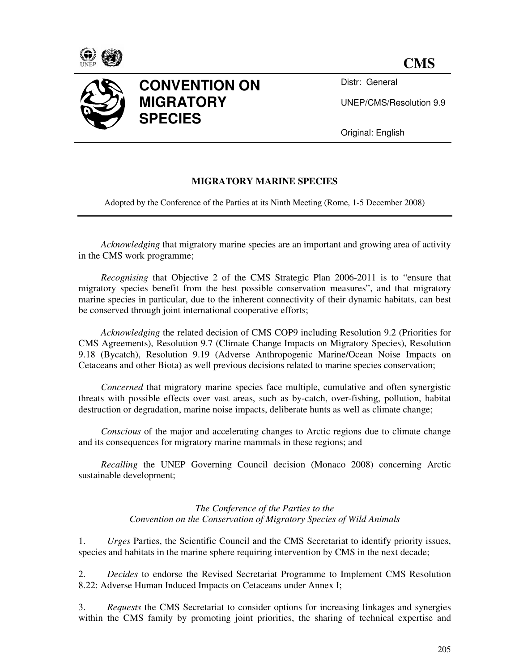



Distr: General

UNEP/CMS/Resolution 9.9

Original: English

# **MIGRATORY MARINE SPECIES**

Adopted by the Conference of the Parties at its Ninth Meeting (Rome, 1-5 December 2008)

*Acknowledging* that migratory marine species are an important and growing area of activity in the CMS work programme;

*Recognising* that Objective 2 of the CMS Strategic Plan 2006-2011 is to "ensure that migratory species benefit from the best possible conservation measures", and that migratory marine species in particular, due to the inherent connectivity of their dynamic habitats, can best be conserved through joint international cooperative efforts;

*Acknowledging* the related decision of CMS COP9 including Resolution 9.2 (Priorities for CMS Agreements), Resolution 9.7 (Climate Change Impacts on Migratory Species), Resolution 9.18 (Bycatch), Resolution 9.19 (Adverse Anthropogenic Marine/Ocean Noise Impacts on Cetaceans and other Biota) as well previous decisions related to marine species conservation;

*Concerned* that migratory marine species face multiple, cumulative and often synergistic threats with possible effects over vast areas, such as by-catch, over-fishing, pollution, habitat destruction or degradation, marine noise impacts, deliberate hunts as well as climate change;

*Conscious* of the major and accelerating changes to Arctic regions due to climate change and its consequences for migratory marine mammals in these regions; and

*Recalling* the UNEP Governing Council decision (Monaco 2008) concerning Arctic sustainable development;

#### *The Conference of the Parties to the Convention on the Conservation of Migratory Species of Wild Animals*

1. *Urges* Parties, the Scientific Council and the CMS Secretariat to identify priority issues, species and habitats in the marine sphere requiring intervention by CMS in the next decade;

2. *Decides* to endorse the Revised Secretariat Programme to Implement CMS Resolution 8.22: Adverse Human Induced Impacts on Cetaceans under Annex I;

3. *Requests* the CMS Secretariat to consider options for increasing linkages and synergies within the CMS family by promoting joint priorities, the sharing of technical expertise and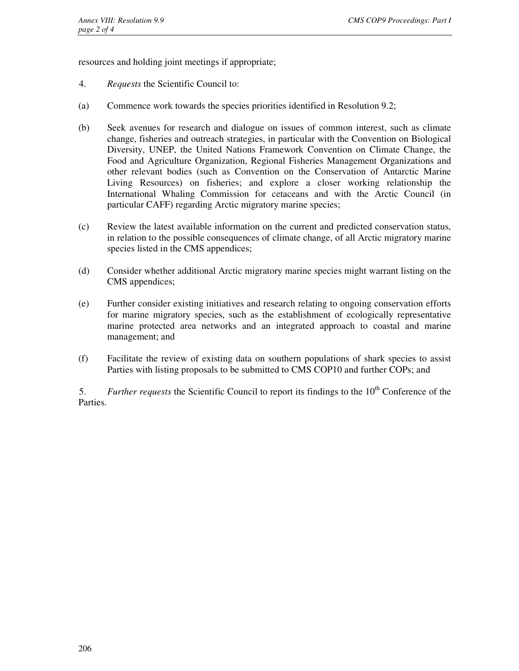resources and holding joint meetings if appropriate;

- 4. *Requests* the Scientific Council to:
- (a) Commence work towards the species priorities identified in Resolution 9.2;
- (b) Seek avenues for research and dialogue on issues of common interest, such as climate change, fisheries and outreach strategies, in particular with the Convention on Biological Diversity, UNEP, the United Nations Framework Convention on Climate Change, the Food and Agriculture Organization, Regional Fisheries Management Organizations and other relevant bodies (such as Convention on the Conservation of Antarctic Marine Living Resources) on fisheries; and explore a closer working relationship the International Whaling Commission for cetaceans and with the Arctic Council (in particular CAFF) regarding Arctic migratory marine species;
- (c) Review the latest available information on the current and predicted conservation status, in relation to the possible consequences of climate change, of all Arctic migratory marine species listed in the CMS appendices;
- (d) Consider whether additional Arctic migratory marine species might warrant listing on the CMS appendices;
- (e) Further consider existing initiatives and research relating to ongoing conservation efforts for marine migratory species, such as the establishment of ecologically representative marine protected area networks and an integrated approach to coastal and marine management; and
- (f) Facilitate the review of existing data on southern populations of shark species to assist Parties with listing proposals to be submitted to CMS COP10 and further COPs; and

5. *Further requests* the Scientific Council to report its findings to the 10<sup>th</sup> Conference of the Parties.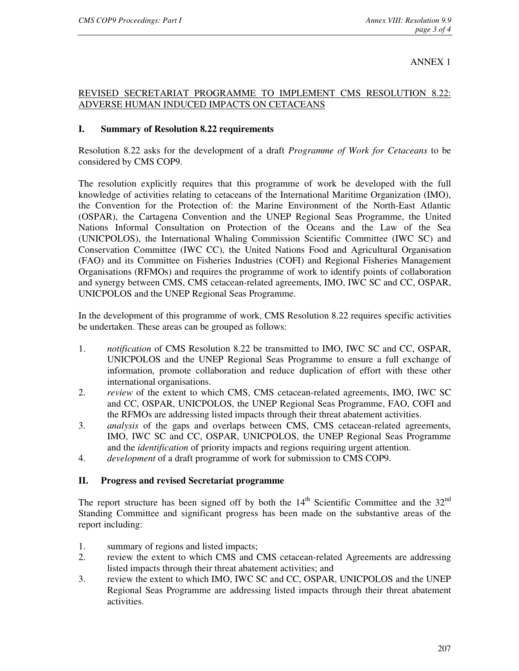### ANNEX 1

## REVISED SECRETARIAT PROGRAMME TO IMPLEMENT CMS RESOLUTION 8.22: ADVERSE HUMAN INDUCED IMPACTS ON CETACEANS

### **I. Summary of Resolution 8.22 requirements**

Resolution 8.22 asks for the development of a draft *Programme of Work for Cetaceans* to be considered by CMS COP9.

The resolution explicitly requires that this programme of work be developed with the full knowledge of activities relating to cetaceans of the International Maritime Organization (IMO), the Convention for the Protection of: the Marine Environment of the North-East Atlantic (OSPAR), the Cartagena Convention and the UNEP Regional Seas Programme, the United Nations Informal Consultation on Protection of the Oceans and the Law of the Sea (UNICPOLOS), the International Whaling Commission Scientific Committee (IWC SC) and Conservation Committee (IWC CC), the United Nations Food and Agricultural Organisation (FAO) and its Committee on Fisheries Industries (COFI) and Regional Fisheries Management Organisations (RFMOs) and requires the programme of work to identify points of collaboration and synergy between CMS, CMS cetacean-related agreements, IMO, IWC SC and CC, OSPAR, UNICPOLOS and the UNEP Regional Seas Programme.

In the development of this programme of work, CMS Resolution 8.22 requires specific activities be undertaken. These areas can be grouped as follows:

- 1. *notification* of CMS Resolution 8.22 be transmitted to IMO, IWC SC and CC, OSPAR, UNICPOLOS and the UNEP Regional Seas Programme to ensure a full exchange of information, promote collaboration and reduce duplication of effort with these other international organisations.
- 2. *review* of the extent to which CMS, CMS cetacean-related agreements, IMO, IWC SC and CC, OSPAR, UNICPOLOS, the UNEP Regional Seas Programme, FAO, COFI and the RFMOs are addressing listed impacts through their threat abatement activities.
- 3. *analysis* of the gaps and overlaps between CMS, CMS cetacean-related agreements, IMO, IWC SC and CC, OSPAR, UNICPOLOS, the UNEP Regional Seas Programme and the *identification* of priority impacts and regions requiring urgent attention.
- 4. *development* of a draft programme of work for submission to CMS COP9.

### **II. Progress and revised Secretariat programme**

The report structure has been signed off by both the  $14<sup>th</sup>$  Scientific Committee and the  $32<sup>nd</sup>$ Standing Committee and significant progress has been made on the substantive areas of the report including:

- 1. summary of regions and listed impacts;
- 2. review the extent to which CMS and CMS cetacean-related Agreements are addressing listed impacts through their threat abatement activities; and
- 3. review the extent to which IMO, IWC SC and CC, OSPAR, UNICPOLOS and the UNEP Regional Seas Programme are addressing listed impacts through their threat abatement activities.